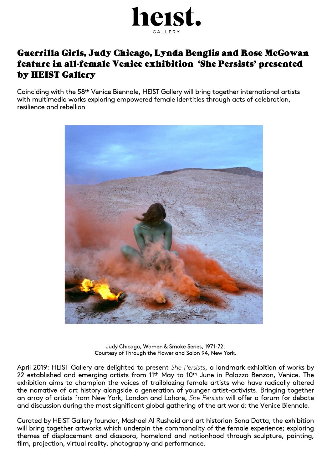

## Guerrilla Girls, Judy Chicago, Lynda Benglis and Rose McGowan feature in all-female Venice exhibition 'She Persists' presented by HEIST Gallery

Coinciding with the 58th Venice Biennale, HEIST Gallery will bring together international artists with multimedia works exploring empowered female identities through acts of celebration, resilience and rebellion



Judy Chicago, Women & Smoke Series, 1971-72. Courtesy of Through the Flower and Salon 94, New York.

April 2019: HEIST Gallery are delighted to present *She Persists*, a landmark exhibition of works by 22 established and emerging artists from 11<sup>th</sup> May to 10<sup>th</sup> June in Palazzo Benzon, Venice. The exhibition aims to champion the voices of trailblazing female artists who have radically altered the narrative of art history alongside a generation of younger artist-activists. Bringing together an array of artists from New York, London and Lahore, *She Persists* will offer a forum for debate and discussion during the most significant global gathering of the art world: the Venice Biennale.

Curated by HEIST Gallery founder, Mashael Al Rushaid and art historian Sona Datta, the exhibition will bring together artworks which underpin the commonality of the female experience; exploring themes of displacement and diaspora, homeland and nationhood through sculpture, painting, film, projection, virtual reality, photography and performance.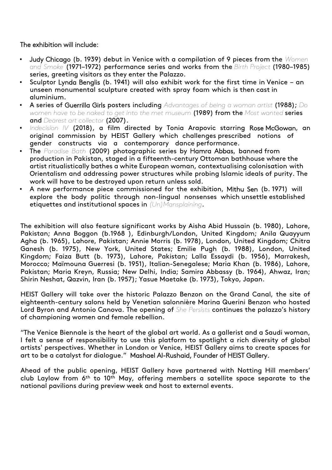## The exhibition will include:

- Judy Chicago (b. 1939) debut in Venice with a compilation of 9 pieces from the *Women and Smoke* (1971–1972) performance series and works from the *Birth Project* (1980–1985) series, greeting visitors as they enter the Palazzo.
- Sculptor Lynda Benglis (b. 1941) will also exhibit work for the first time in Venice an unseen monumental sculpture created with spray foam which is then cast in aluminium.
- A series of Guerrilla Girls posters including *Advantages of being a woman artist* (1988); *Do women have to be naked to get into the met museum* (1989) from the *Most wanted* series and *Dearest art collector* (2007).
- Indecision IV (2018), a film directed by Tonia Arapovic starring Rose McGowan, an original commission by HEIST Gallery which challenges prescribed notions of gender constructs via a contemporary dance performance.
- The Paradise Bath (2009) photographic series by Hamra Abbas, banned from production in Pakistan, staged in a fifteenth-century Ottoman bathhouse where the artist ritualistically bathes a white European woman, contextualising colonisation with Orientalism and addressing power structures while probing Islamic ideals of purity. The work will have to be destroyed upon return unless sold.
- A new performance piece commissioned for the exhibition, Mithu Sen (b. 1971) will explore the body politic through non-lingual nonsenses which unsettle established etiquettes and institutional spaces in *(Un)Mansplaining*.

The exhibition will also feature significant works by Aisha Abid Hussain (b. 1980), Lahore, Pakistan; Anna Boggon (b.1968 ), Edinburgh/London, United Kingdom; Anila Quayyum Agha (b. 1965), Lahore, Pakistan; Annie Morris (b. 1978), London, United Kingdom; Chitra Ganesh (b. 1975), New York, United States; Emilie Pugh (b. 1988), London, United Kingdom; Faiza Butt (b. 1973), Lahore, Pakistan; Lalla Essaydi (b. 1956), Marrakesh, Morocco; Maïmouna Guerresi (b. 1951), Italian-Senegalese; Maria Khan (b. 1986), Lahore, Pakistan; Maria Kreyn, Russia; New Delhi, India; Samira Abbassy (b. 1964), Ahwaz, Iran; Shirin Neshat, Qazvin, Iran (b. 1957); Yasue Maetake (b. 1973), Tokyo, Japan.

HEIST Gallery will take over the historic Palazzo Benzon on the Grand Canal, the site of eighteenth-century salons held by Venetian salonnière Marina Querini Benzon who hosted Lord Byron and Antonio Canova. The opening of *She Persists* continues the palazzo's history of championing women and female rebellion.

"The Venice Biennale is the heart of the global art world. As a gallerist and a Saudi woman, I felt a sense of responsibility to use this platform to spotlight a rich diversity of global artists' perspectives. Whether in London or Venice, HEIST Gallery aims to create spaces for art to be a catalyst for dialogue." Mashael Al-Rushaid, Founder of HEIST Gallery.

Ahead of the public opening, HEIST Gallery have partnered with Notting Hill members' club Laylow from 6th to 10th May, offering members a satellite space separate to the national pavilions during preview week and host to external events.